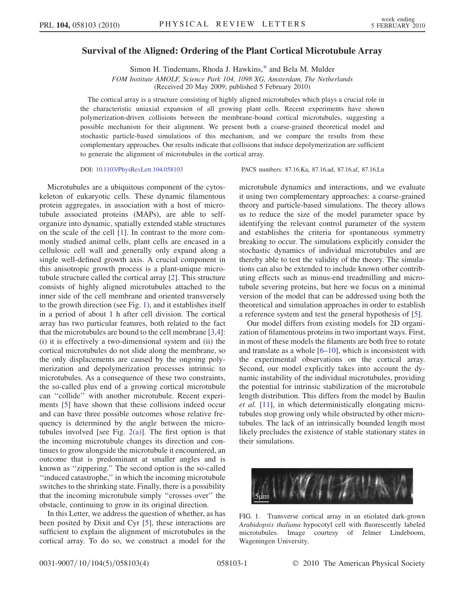## <span id="page-0-1"></span>Survival of the Aligned: Ordering of the Plant Cortical Microtubule Array

Simon H. Tindemans, Rhoda J. Hawkins[,\\*](#page-3-0) and Bela M. Mulder FOM Institute AMOLF, Science Park 104, 1098 XG, Amsterdam, The Netherlands

(Received 20 May 2009; published 5 February 2010)

The cortical array is a structure consisting of highly aligned microtubules which plays a crucial role in the characteristic uniaxial expansion of all growing plant cells. Recent experiments have shown polymerization-driven collisions between the membrane-bound cortical microtubules, suggesting a possible mechanism for their alignment. We present both a coarse-grained theoretical model and stochastic particle-based simulations of this mechanism, and we compare the results from these complementary approaches. Our results indicate that collisions that induce depolymerization are sufficient to generate the alignment of microtubules in the cortical array.

Microtubules are a ubiquitous component of the cytoskeleton of eukaryotic cells. These dynamic filamentous protein aggregates, in association with a host of microtubule associated proteins (MAPs), are able to selforganize into dynamic, spatially extended stable structures on the scale of the cell [\[1](#page-3-1)]. In contrast to the more commonly studied animal cells, plant cells are encased in a cellulosic cell wall and generally only expand along a single well-defined growth axis. A crucial component in this anisotropic growth process is a plant-unique microtubule structure called the cortical array [\[2](#page-3-2)]. This structure consists of highly aligned microtubules attached to the inner side of the cell membrane and oriented transversely to the growth direction (see Fig. [1](#page-0-0)), and it establishes itself in a period of about 1 h after cell division. The cortical array has two particular features, both related to the fact that the microtubules are bound to the cell membrane [[3](#page-3-3)[,4\]](#page-3-4): (i) it is effectively a two-dimensional system and (ii) the cortical microtubules do not slide along the membrane, so the only displacements are caused by the ongoing polymerization and depolymerization processes intrinsic to microtubules. As a consequence of these two constraints, the so-called plus end of a growing cortical microtubule can ''collide'' with another microtubule. Recent experiments [[5\]](#page-3-5) have shown that these collisions indeed occur and can have three possible outcomes whose relative frequency is determined by the angle between the microtubules involved [see Fig.  $2(a)$ ]. The first option is that the incoming microtubule changes its direction and continues to grow alongside the microtubule it encountered, an outcome that is predominant at smaller angles and is known as ''zippering.'' The second option is the so-called ''induced catastrophe,'' in which the incoming microtubule switches to the shrinking state. Finally, there is a possibility that the incoming microtubule simply ''crosses over'' the obstacle, continuing to grow in its original direction.

In this Letter, we address the question of whether, as has been posited by Dixit and Cyr [[5](#page-3-5)], these interactions are sufficient to explain the alignment of microtubules in the cortical array. To do so, we construct a model for the

DOI: [10.1103/PhysRevLett.104.058103](http://dx.doi.org/10.1103/PhysRevLett.104.058103) PACS numbers: 87.16.Ka, 87.16.ad, 87.16.af, 87.16.Ln

microtubule dynamics and interactions, and we evaluate it using two complementary approaches: a coarse-grained theory and particle-based simulations. The theory allows us to reduce the size of the model parameter space by identifying the relevant control parameter of the system and establishes the criteria for spontaneous symmetry breaking to occur. The simulations explicitly consider the stochastic dynamics of individual microtubules and are thereby able to test the validity of the theory. The simulations can also be extended to include known other contributing effects such as minus-end treadmilling and microtubule severing proteins, but here we focus on a minimal version of the model that can be addressed using both the theoretical and simulation approaches in order to establish a reference system and test the general hypothesis of [\[5\]](#page-3-5).

Our model differs from existing models for 2D organization of filamentous proteins in two important ways. First, in most of these models the filaments are both free to rotate and translate as a whole [\[6–](#page-3-6)[10](#page-3-7)], which is inconsistent with the experimental observations on the cortical array. Second, our model explicitly takes into account the dynamic instability of the individual microtubules, providing the potential for intrinsic stabilization of the microtubule length distribution. This differs from the model by Baulin et al. [\[11\]](#page-3-8), in which deterministically elongating microtubules stop growing only while obstructed by other microtubules. The lack of an intrinsically bounded length most likely precludes the existence of stable stationary states in their simulations.

<span id="page-0-0"></span>

FIG. 1. Transverse cortical array in an etiolated dark-grown Arabidopsis thaliana hypocotyl cell with fluorescently labeled microtubules. Image courtesy of Jelmer Lindeboom, Wageningen University.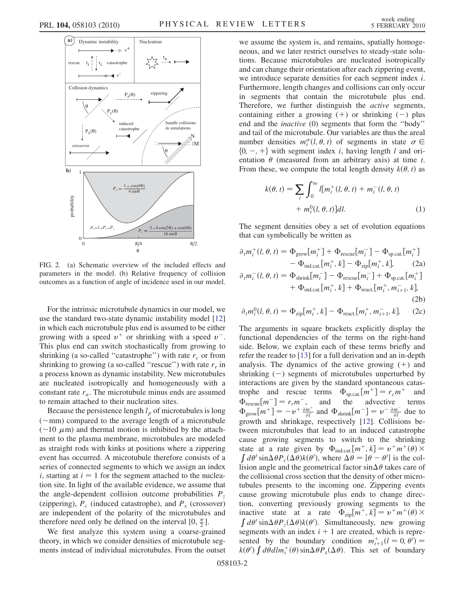

<span id="page-1-0"></span>FIG. 2. (a) Schematic overview of the included effects and parameters in the model. (b) Relative frequency of collision outcomes as a function of angle of incidence used in our model.

For the intrinsic microtubule dynamics in our model, we use the standard two-state dynamic instability model [\[12\]](#page-3-9) in which each microtubule plus end is assumed to be either growing with a speed  $v^+$  or shrinking with a speed  $v^-$ . This plus end can switch stochastically from growing to shrinking (a so-called "catastrophe") with rate  $r_c$  or from shrinking to growing (a so-called "rescue") with rate  $r_r$  in a process known as dynamic instability. New microtubules are nucleated isotropically and homogeneously with a constant rate  $r_n$ . The microtubule minus ends are assumed to remain attached to their nucleation sites.

Because the persistence length  $l_p$  of microtubules is long ( $\sim$ mm) compared to the average length of a microtubule<br>( $\sim$ 10  $\mu$ m) and thermal motion is inhibited by the attach- $(\sim 10 \mu m)$  and thermal motion is inhibited by the attach-<br>ment to the plasma membrane, microtubules are modeled ment to the plasma membrane, microtubules are modeled as straight rods with kinks at positions where a zippering event has occurred. A microtubule therefore consists of a series of connected segments to which we assign an index i, starting at  $i = 1$  for the segment attached to the nucleation site. In light of the available evidence, we assume that the angle-dependent collision outcome probabilities  $P_z$ (zippering),  $P_c$  (induced catastrophe), and  $P_x$  (crossover) are independent of the polarity of the microtubules and therefore need only be defined on the interval  $[0, \frac{\pi}{2}]$ .

We first analyze this system using a coarse-grained theory, in which we consider densities of microtubule segments instead of individual microtubules. From the outset we assume the system is, and remains, spatially homogeneous, and we later restrict ourselves to steady-state solutions. Because microtubules are nucleated isotropically and can change their orientation after each zippering event, we introduce separate densities for each segment index i. Furthermore, length changes and collisions can only occur in segments that contain the microtubule plus end. Therefore, we further distinguish the *active* segments, containing either a growing  $(+)$  or shrinking  $(-)$  plus end and the inactive (0) segments that form the ''body'' and tail of the microtubule. Our variables are thus the areal number densities  $m_i^{\sigma}(l, \theta, t)$  of segments in state  $\sigma \in$ <br> $\{0, -1\}$  with segment index *i* having length *l* and ori- $\{0, -, +\}$  with segment index *i*, having length *l* and orientation  $\theta$  (measured from an arbitrary axis) at time t. From these, we compute the total length density  $k(\theta, t)$  as

$$
k(\theta, t) = \sum_{i} \int_0^{\infty} l[m_i^+(l, \theta, t) + m_i^-(l, \theta, t) + m_i^0(l, \theta, t)]dl.
$$
 (1)

<span id="page-1-1"></span>The segment densities obey a set of evolution equations that can symbolically be written as

$$
\partial_t m_i^+(l, \theta, t) = \Phi_{\text{grow}}[m_i^+] + \Phi_{\text{rescue}}[m_i^-] - \Phi_{\text{sp.cat}}[m_i^+]
$$
  
\n
$$
- \Phi_{\text{ind.cat}}[m_i^+, k] - \Phi_{\text{zip}}[m_i^+, k], \qquad (2a)
$$
  
\n
$$
\partial_t m_i^-(l, \theta, t) = \Phi_{\text{shrink}}[m_i^-] - \Phi_{\text{rescue}}[m_i^-] + \Phi_{\text{sp.cat}}[m_i^+]
$$
  
\n
$$
+ \Phi_{\text{ind.cat}}[m_i^+, k] + \Phi_{\text{react}}[m_i^+, m_{i+1}^-, k], \qquad (2b)
$$

$$
\partial_t m_i^0(l, \theta, t) = \Phi_{\text{zip}}[m_i^+, k] - \Phi_{\text{react}}[m_i^+, m_{i+1}^-, k]. \tag{2c}
$$

The arguments in square brackets explicitly display the functional dependencies of the terms on the right-hand side. Below, we explain each of these terms briefly and refer the reader to [\[13\]](#page-3-10) for a full derivation and an in-depth analysis. The dynamics of the active growing  $(+)$  and shrinking  $(-)$  segments of microtubules unperturbed by interactions are given by the standard spontaneous catastrophe and rescue terms  $\Phi_{\text{sp.cat}}[m^+] = r_c m^+$  and  $\Phi_{\text{rescue}}[m^-] = r_r m^-$ , and the advective terms  $\Phi_{\text{rescue}}[m^-] = r_r m^-$ , and the advective terms<br>  $\Phi_{\text{rescue}}[m^+] = -v^+ \frac{\partial m^+}{\partial m^+}$  and  $\Phi_{\text{res}}[m^-] = v^- \frac{\partial m^-}{\partial m^-}$  due to  $\Phi_{\text{grow}}[m^+] = -v^+ \frac{\partial m^+}{\partial l}$  and  $\Phi_{\text{shrink}}[m^-] = v^- \frac{\partial m^-}{\partial l}$  due to growth and shrinkage, respectively [\[12\]](#page-3-9). Collisions between microtubules that lead to an induced catastrophe cause growing segments to switch to the shrinking state at a rate given by  $\Phi_{ind.cat.}[m^+, k] = v^+ m^+ (\theta) \times$  $\int d\theta' \sin \Delta \theta P_c(\Delta \theta) k(\theta')$ , where  $\Delta \theta = |\theta - \theta'|$  is the col-<br>isomo angle and the geometrical factor sin  $\Delta \theta$  takes care of lision angle and the geometrical factor  $sin \Delta \theta$  takes care of the collisional cross section that the density of other microtubules presents to the incoming one. Zippering events cause growing microtubule plus ends to change direction, converting previously growing segments to the inactive state at a rate  $\Phi_{\text{zip}}[m^+, k] = v^+ m^+ (\theta) \times$  $\int d\theta' \sin \Delta \theta P_z(\Delta \theta) k(\theta')$ . Simultaneously, new growing segments with an index  $i + 1$  are created, which is represented by the boundary condition  $m_{i+1}^+(l=0, \theta)$ <br>  $k(\theta)$   $\int d\theta dm^+(l) \sin \theta P(\Delta \theta)$  This set of bound  $k(\theta')$   $\int d\theta dlm_i^+(\theta) \sin\Delta\theta P_z(\Delta\theta)$ . This set of boundary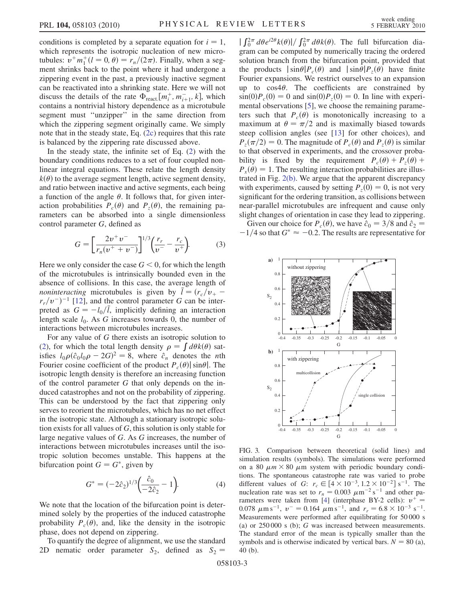conditions is completed by a separate equation for  $i = 1$ , which represents the isotropic nucleation of new microtubules:  $v^+ m_1^+ (l = 0, \theta) = r_n/(2\pi)$ . Finally, when a seg-<br>ment shrinks back to the point where it had undergone a ment shrinks back to the point where it had undergone a zippering event in the past, a previously inactive segment can be reactivated into a shrinking state. Here we will not discuss the details of the rate  $\Phi_{\text{react}}[m_t^+, m_{t+1}^-, k]$ , which contains a nontrivial history dependence as a microtubule contains a nontrivial history dependence as a microtubule segment must ''unzipper'' in the same direction from which the zippering segment originally came. We simply note that in the steady state, Eq. [\(2c](#page-1-1)) requires that this rate is balanced by the zippering rate discussed above.

In the steady state, the infinite set of Eq. ([2](#page-1-1)) with the boundary conditions reduces to a set of four coupled nonlinear integral equations. These relate the length density  $k(\theta)$  to the average segment length, active segment density, and ratio between inactive and active segments, each being a function of the angle  $\theta$ . It follows that, for given interaction probabilities  $P_c(\theta)$  and  $P_{\overline{z}}(\theta)$ , the remaining parameters can be absorbed into a single dimensionless control parameter G, defined as

$$
G = \left[\frac{2v^{+}v^{-}}{r_{n}(v^{+} + v^{-})}\right]^{1/3} \left(\frac{r_{r}}{v^{-}} - \frac{r_{c}}{v^{+}}\right).
$$
 (3)

Here we only consider the case  $G \le 0$ , for which the length of the microtubules is intrinsically bounded even in the absence of collisions. In this case, the average length of *noninteracting* microtubules is given by  $\bar{l} = (r_c/v_+)$  $r_r/v^-$ <sup>-</sup> [[12](#page-3-9)], and the control parameter G can be inter-<br>preted as  $G = -l_c/\overline{l}$  implicitly defining an interaction preted as  $G = -l_0/\overline{l}$ , implicitly defining an interaction length scale  $l_0$ . As G increases towards 0, the number of interactions between microtubules increases.

For any value of G there exists an isotropic solution to [\(2\)](#page-1-1), for which the total length density  $\rho = \int d\theta k(\theta)$  satisfies  $l_0 \rho \left( \frac{\partial_0 l_0 \rho - 2G}{\rho} \right) = 8$ , where  $\hat{c}_n$  denotes the *n*th Fourier cosine coefficient of the product *P* (*θ*) sin*θ* The Fourier cosine coefficient of the product  $P_c(\theta)$  sin $\theta$ . The isotropic length density is therefore an increasing function of the control parameter G that only depends on the induced catastrophes and not on the probability of zippering. This can be understood by the fact that zippering only serves to reorient the microtubules, which has no net effect in the isotropic state. Although a stationary isotropic solution exists for all values of G, this solution is only stable for large negative values of G. As G increases, the number of interactions between microtubules increases until the isotropic solution becomes unstable. This happens at the bifurcation point  $G = G^*$ , given by

$$
G^* = (-2\hat{c}_2)^{1/3} \left( \frac{\hat{c}_0}{-2\hat{c}_2} - 1 \right).
$$
 (4)

<span id="page-2-0"></span>We note that the location of the bifurcation point is determined solely by the properties of the induced catastrophe probability  $P_c(\theta)$ , and, like the density in the isotropic phase, does not depend on zippering.

To quantify the degree of alignment, we use the standard 2D nematic order parameter  $S_2$ , defined as  $S_2$  =

gram can be computed by numerically tracing the ordered  $\int_0^{2\pi} d\theta e^{i2\theta} k(\theta) / \int_0^{2\pi} d\theta k(\theta)$ . The full bifurcation diasolution branch from the bifurcation point, provided that the products  $|\sin\theta|P_c(\theta)$  and  $|\sin\theta|P_z(\theta)$  have finite Fourier expansions. We restrict ourselves to an expansion up to  $\cos 4\theta$ . The coefficients are constrained by  $\sin(0)P_c(0) = 0$  and  $\sin(0)P_c(0) = 0$ . In line with experimental observations [[5](#page-3-5)], we choose the remaining parameters such that  $P_c(\theta)$  is monotonically increasing to a maximum at  $\theta = \pi/2$  and is maximally biased towards<br>steen collision angles (see 1131 for other choices) and steep collision angles (see [[13](#page-3-10)] for other choices), and  $P_z(\pi/2) = 0$ . The magnitude of  $P_c(\theta)$  and  $P_z(\theta)$  is similar to that observed in experiments and the crossover probato that observed in experiments, and the crossover probability is fixed by the requirement  $P_c(\theta) + P_{\overline{z}}(\theta)$  +  $P_r(\theta) = 1$ . The resulting interaction probabilities are illustrated in Fig. [2\(b\)](#page-1-0). We argue that the apparent discrepancy with experiments, caused by setting  $P_7(0) = 0$ , is not very significant for the ordering transition, as collisions between near-parallel microtubules are infrequent and cause only slight changes of orientation in case they lead to zippering.

Given our choice for  $P_c(\theta)$ , we have  $\hat{c}_0 = 3/8$  and  $\hat{c}_2 =$  $-1/4$  so that  $G^* \approx -0.2$ . The results are representative for

<span id="page-2-2"></span>

<span id="page-2-1"></span>FIG. 3. Comparison between theoretical (solid lines) and simulation results (symbols). The simulations were performed on a 80  $\mu$ m  $\times$  80  $\mu$ m system with periodic boundary conditions. The spontaneous catastrophe rate was varied to probe different values of G:  $r_c \in [4 \times 10^{-3}, 1.2 \times 10^{-2}] \text{ s}^{-1}$ . The nucleation rate was set to  $r_n = 0.003 \ \mu \text{m}^{-2} \text{ s}^{-1}$  and other pa-rameters were taken from [\[4](#page-3-4)] (interphase BY-2 cells):  $v^+$  = 0.078  $\mu$ m s<sup>-1</sup>,  $v = 0.164 \mu$ m s<sup>-1</sup>, and  $r_r = 6.8 \times 10^{-3}$  s<sup>-1</sup>. Measurements were performed after equilibrating for 50 000 s (a) or  $250\,000$  s (b); G was increased between measurements. The standard error of the mean is typically smaller than the symbols and is otherwise indicated by vertical bars.  $N = 80$  (a), 40 (b).